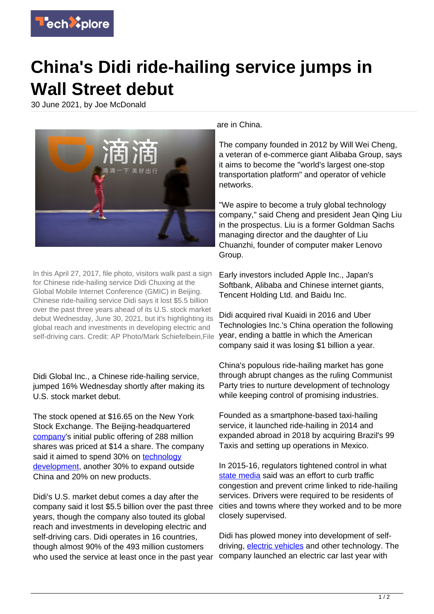

## **China's Didi ride-hailing service jumps in Wall Street debut**

30 June 2021, by Joe McDonald



In this April 27, 2017, file photo, visitors walk past a sign for Chinese ride-hailing service Didi Chuxing at the Global Mobile Internet Conference (GMIC) in Beijing. Chinese ride-hailing service Didi says it lost \$5.5 billion over the past three years ahead of its U.S. stock market debut Wednesday, June 30, 2021, but it's highlighting its global reach and investments in developing electric and self-driving cars. Credit: AP Photo/Mark Schiefelbein,File

Didi Global Inc., a Chinese ride-hailing service, jumped 16% Wednesday shortly after making its U.S. stock market debut.

The stock opened at \$16.65 on the New York Stock Exchange. The Beijing-headquartered [company](https://techxplore.com/tags/company/)'s initial public offering of 288 million shares was priced at \$14 a share. The company said it aimed to spend 30% on [technology](https://techxplore.com/tags/technology+development/) [development](https://techxplore.com/tags/technology+development/), another 30% to expand outside China and 20% on new products.

Didi's U.S. market debut comes a day after the company said it lost \$5.5 billion over the past three years, though the company also touted its global reach and investments in developing electric and self-driving cars. Didi operates in 16 countries, though almost 90% of the 493 million customers who used the service at least once in the past year

are in China.

The company founded in 2012 by Will Wei Cheng, a veteran of e-commerce giant Alibaba Group, says it aims to become the "world's largest one-stop transportation platform" and operator of vehicle networks.

"We aspire to become a truly global technology company," said Cheng and president Jean Qing Liu in the prospectus. Liu is a former Goldman Sachs managing director and the daughter of Liu Chuanzhi, founder of computer maker Lenovo Group.

Early investors included Apple Inc., Japan's Softbank, Alibaba and Chinese internet giants, Tencent Holding Ltd. and Baidu Inc.

Didi acquired rival Kuaidi in 2016 and Uber Technologies Inc.'s China operation the following year, ending a battle in which the American company said it was losing \$1 billion a year.

China's populous ride-hailing market has gone through abrupt changes as the ruling Communist Party tries to nurture development of technology while keeping control of promising industries.

Founded as a smartphone-based taxi-hailing service, it launched ride-hailing in 2014 and expanded abroad in 2018 by acquiring Brazil's 99 Taxis and setting up operations in Mexico.

In 2015-16, regulators tightened control in what [state media](https://techxplore.com/tags/state+media/) said was an effort to curb traffic congestion and prevent crime linked to ride-hailing services. Drivers were required to be residents of cities and towns where they worked and to be more closely supervised.

Didi has plowed money into development of selfdriving, [electric vehicles](https://techxplore.com/tags/electric+vehicles/) and other technology. The company launched an electric car last year with